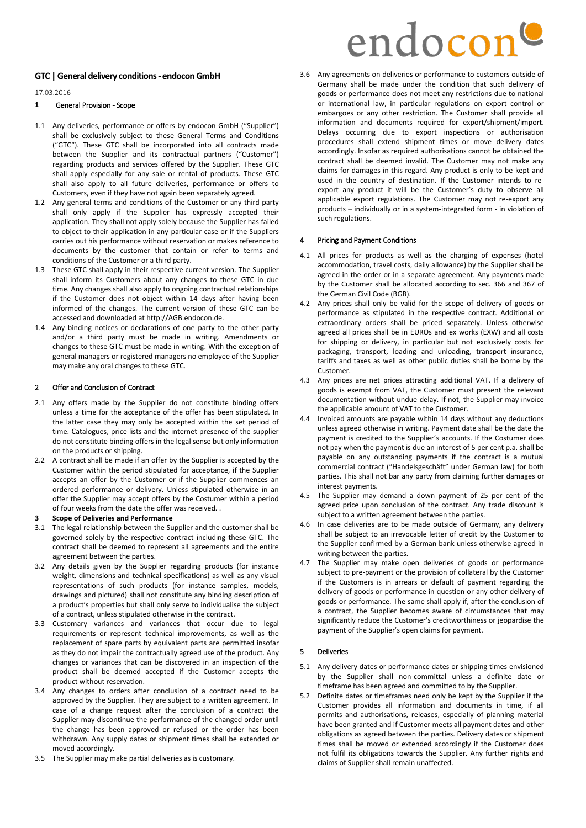# **GTC | General delivery conditions- endocon GmbH**

17.03.2016

### **1** General Provision - Scope

- 1.1 Any deliveries, performance or offers by endocon GmbH ("Supplier") shall be exclusively subject to these General Terms and Conditions ("GTC"). These GTC shall be incorporated into all contracts made between the Supplier and its contractual partners ("Customer") regarding products and services offered by the Supplier. These GTC shall apply especially for any sale or rental of products. These GTC shall also apply to all future deliveries, performance or offers to Customers, even if they have not again been separately agreed.
- 1.2 Any general terms and conditions of the Customer or any third party shall only apply if the Supplier has expressly accepted their application. They shall not apply solely because the Supplier has failed to object to their application in any particular case or if the Suppliers carries out his performance without reservation or makes reference to documents by the customer that contain or refer to terms and conditions of the Customer or a third party.
- 1.3 These GTC shall apply in their respective current version. The Supplier shall inform its Customers about any changes to these GTC in due time. Any changes shall also apply to ongoing contractual relationships if the Customer does not object within 14 days after having been informed of the changes. The current version of these GTC can be accessed and downloaded at http://AGB.endocon.de.
- 1.4 Any binding notices or declarations of one party to the other party and/or a third party must be made in writing. Amendments or changes to these GTC must be made in writing. With the exception of general managers or registered managers no employee of the Supplier may make any oral changes to these GTC.

### 2 Offer and Conclusion of Contract

- 2.1 Any offers made by the Supplier do not constitute binding offers unless a time for the acceptance of the offer has been stipulated. In the latter case they may only be accepted within the set period of time. Catalogues, price lists and the internet presence of the supplier do not constitute binding offers in the legal sense but only information on the products or shipping.
- 2.2 A contract shall be made if an offer by the Supplier is accepted by the Customer within the period stipulated for acceptance, if the Supplier accepts an offer by the Customer or if the Supplier commences an ordered performance or delivery. Unless stipulated otherwise in an offer the Supplier may accept offers by the Costumer within a period of four weeks from the date the offer was received. .
- **3 Scope of Deliveries and Performance**
- 3.1 The legal relationship between the Supplier and the customer shall be governed solely by the respective contract including these GTC. The contract shall be deemed to represent all agreements and the entire agreement between the parties.
- 3.2 Any details given by the Supplier regarding products (for instance weight, dimensions and technical specifications) as well as any visual representations of such products (for instance samples, models, drawings and pictured) shall not constitute any binding description of a product's properties but shall only serve to individualise the subject of a contract, unless stipulated otherwise in the contract.
- 3.3 Customary variances and variances that occur due to legal requirements or represent technical improvements, as well as the replacement of spare parts by equivalent parts are permitted insofar as they do not impair the contractually agreed use of the product. Any changes or variances that can be discovered in an inspection of the product shall be deemed accepted if the Customer accepts the product without reservation.
- 3.4 Any changes to orders after conclusion of a contract need to be approved by the Supplier. They are subject to a written agreement. In case of a change request after the conclusion of a contract the Supplier may discontinue the performance of the changed order until the change has been approved or refused or the order has been withdrawn. Any supply dates or shipment times shall be extended or moved accordingly.
- 3.5 The Supplier may make partial deliveries as is customary.

3.6 Any agreements on deliveries or performance to customers outside of Germany shall be made under the condition that such delivery of goods or performance does not meet any restrictions due to national or international law, in particular regulations on export control or embargoes or any other restriction. The Customer shall provide all information and documents required for export/shipment/import. Delays occurring due to export inspections or authorisation procedures shall extend shipment times or move delivery dates accordingly. Insofar as required authorisations cannot be obtained the contract shall be deemed invalid. The Customer may not make any claims for damages in this regard. Any product is only to be kept and used in the country of destination. If the Customer intends to reexport any product it will be the Customer's duty to observe all applicable export regulations. The Customer may not re-export any products – individually or in a system-integrated form - in violation of such regulations.

### Pricing and Payment Conditions

- 4.1 All prices for products as well as the charging of expenses (hotel accommodation, travel costs, daily allowance) by the Supplier shall be agreed in the order or in a separate agreement. Any payments made by the Customer shall be allocated according to sec. 366 and 367 of the German Civil Code (BGB).
- Any prices shall only be valid for the scope of delivery of goods or performance as stipulated in the respective contract. Additional or extraordinary orders shall be priced separately. Unless otherwise agreed all prices shall be in EUROs and ex works (EXW) and all costs for shipping or delivery, in particular but not exclusively costs for packaging, transport, loading and unloading, transport insurance, tariffs and taxes as well as other public duties shall be borne by the Customer.
- 4.3 Any prices are net prices attracting additional VAT. If a delivery of goods is exempt from VAT, the Customer must present the relevant documentation without undue delay. If not, the Supplier may invoice the applicable amount of VAT to the Customer.
- 4.4 Invoiced amounts are payable within 14 days without any deductions unless agreed otherwise in writing. Payment date shall be the date the payment is credited to the Supplier's accounts. If the Costumer does not pay when the payment is due an interest of 5 per cent p.a. shall be payable on any outstanding payments if the contract is a mutual commercial contract ("Handelsgeschäft" under German law) for both parties. This shall not bar any party from claiming further damages or interest payments.
- 4.5 The Supplier may demand a down payment of 25 per cent of the agreed price upon conclusion of the contract. Any trade discount is subject to a written agreement between the parties.
- 4.6 In case deliveries are to be made outside of Germany, any delivery shall be subject to an irrevocable letter of credit by the Customer to the Supplier confirmed by a German bank unless otherwise agreed in writing between the parties.
- 4.7 The Supplier may make open deliveries of goods or performance subject to pre-payment or the provision of collateral by the Customer if the Customers is in arrears or default of payment regarding the delivery of goods or performance in question or any other delivery of goods or performance. The same shall apply if, after the conclusion of a contract, the Supplier becomes aware of circumstances that may significantly reduce the Customer's creditworthiness or jeopardise the payment of the Supplier's open claims for payment.

### 5 Deliveries

- 5.1 Any delivery dates or performance dates or shipping times envisioned by the Supplier shall non-committal unless a definite date or timeframe has been agreed and committed to by the Supplier.
- 5.2 Definite dates or timeframes need only be kept by the Supplier if the Customer provides all information and documents in time, if all permits and authorisations, releases, especially of planning material have been granted and if Customer meets all payment dates and other obligations as agreed between the parties. Delivery dates or shipment times shall be moved or extended accordingly if the Customer does not fulfil its obligations towards the Supplier. Any further rights and claims of Supplier shall remain unaffected.

# endocon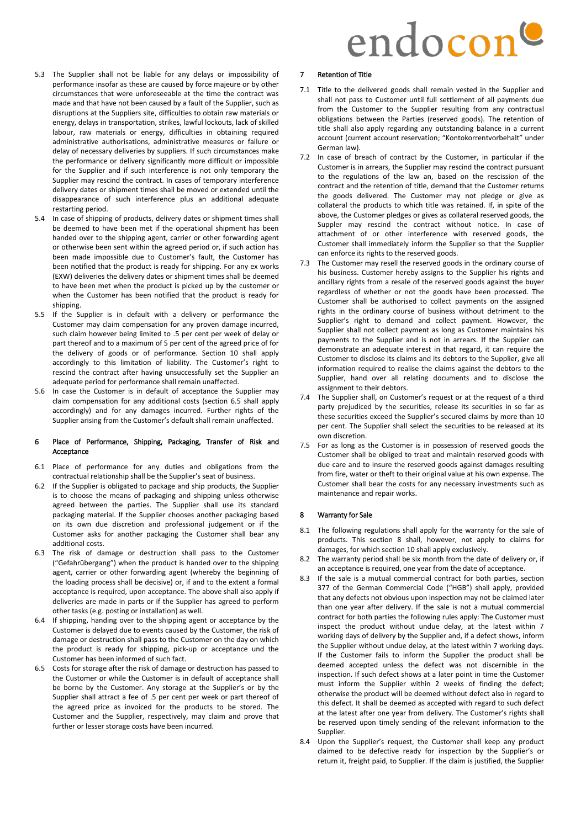# endocon

- 5.3 The Supplier shall not be liable for any delays or impossibility of performance insofar as these are caused by force majeure or by other circumstances that were unforeseeable at the time the contract was made and that have not been caused by a fault of the Supplier, such as disruptions at the Suppliers site, difficulties to obtain raw materials or energy, delays in transportation, strikes, lawful lockouts, lack of skilled labour, raw materials or energy, difficulties in obtaining required administrative authorisations, administrative measures or failure or delay of necessary deliveries by suppliers. If such circumstances make the performance or delivery significantly more difficult or impossible for the Supplier and if such interference is not only temporary the Supplier may rescind the contract. In cases of temporary interference delivery dates or shipment times shall be moved or extended until the disappearance of such interference plus an additional adequate restarting period.
- 5.4 In case of shipping of products, delivery dates or shipment times shall be deemed to have been met if the operational shipment has been handed over to the shipping agent, carrier or other forwarding agent or otherwise been sent within the agreed period or, if such action has been made impossible due to Customer's fault, the Customer has been notified that the product is ready for shipping. For any ex works (EXW) deliveries the delivery dates or shipment times shall be deemed to have been met when the product is picked up by the customer or when the Customer has been notified that the product is ready for shipping.
- 5.5 If the Supplier is in default with a delivery or performance the Customer may claim compensation for any proven damage incurred, such claim however being limited to .5 per cent per week of delay or part thereof and to a maximum of 5 per cent of the agreed price of for the delivery of goods or of performance. Section 10 shall apply accordingly to this limitation of liability. The Customer's right to rescind the contract after having unsuccessfully set the Supplier an adequate period for performance shall remain unaffected.
- 5.6 In case the Customer is in default of acceptance the Supplier may claim compensation for any additional costs (section 6.5 shall apply accordingly) and for any damages incurred. Further rights of the Supplier arising from the Customer's default shall remain unaffected.

# 6 Place of Performance, Shipping, Packaging, Transfer of Risk and Acceptance

- 6.1 Place of performance for any duties and obligations from the contractual relationship shall be the Supplier's seat of business.
- 6.2 If the Supplier is obligated to package and ship products, the Supplier is to choose the means of packaging and shipping unless otherwise agreed between the parties. The Supplier shall use its standard packaging material. If the Supplier chooses another packaging based on its own due discretion and professional judgement or if the Customer asks for another packaging the Customer shall bear any additional costs.
- 6.3 The risk of damage or destruction shall pass to the Customer ("Gefahrübergang") when the product is handed over to the shipping agent, carrier or other forwarding agent (whereby the beginning of the loading process shall be decisive) or, if and to the extent a formal acceptance is required, upon acceptance. The above shall also apply if deliveries are made in parts or if the Supplier has agreed to perform other tasks (e.g. posting or installation) as well.
- 6.4 If shipping, handing over to the shipping agent or acceptance by the Customer is delayed due to events caused by the Customer, the risk of damage or destruction shall pass to the Customer on the day on which the product is ready for shipping, pick-up or acceptance und the Customer has been informed of such fact.
- 6.5 Costs for storage after the risk of damage or destruction has passed to the Customer or while the Customer is in default of acceptance shall be borne by the Customer. Any storage at the Supplier's or by the Supplier shall attract a fee of .5 per cent per week or part thereof of the agreed price as invoiced for the products to be stored. The Customer and the Supplier, respectively, may claim and prove that further or lesser storage costs have been incurred.

# 7 Retention of Title

- 7.1 Title to the delivered goods shall remain vested in the Supplier and shall not pass to Customer until full settlement of all payments due from the Customer to the Supplier resulting from any contractual obligations between the Parties (reserved goods). The retention of title shall also apply regarding any outstanding balance in a current account (current account reservation; "Kontokorrentvorbehalt" under German law).
- 7.2 In case of breach of contract by the Customer, in particular if the Customer is in arrears, the Supplier may rescind the contract pursuant to the regulations of the law an, based on the rescission of the contract and the retention of title, demand that the Customer returns the goods delivered. The Customer may not pledge or give as collateral the products to which title was retained. If, in spite of the above, the Customer pledges or gives as collateral reserved goods, the Suppler may rescind the contract without notice. In case of attachment of or other interference with reserved goods, the Customer shall immediately inform the Supplier so that the Supplier can enforce its rights to the reserved goods.
- 7.3 The Customer may resell the reserved goods in the ordinary course of his business. Customer hereby assigns to the Supplier his rights and ancillary rights from a resale of the reserved goods against the buyer regardless of whether or not the goods have been processed. The Customer shall be authorised to collect payments on the assigned rights in the ordinary course of business without detriment to the Supplier's right to demand and collect payment. However, the Supplier shall not collect payment as long as Customer maintains his payments to the Supplier and is not in arrears. If the Supplier can demonstrate an adequate interest in that regard, it can require the Customer to disclose its claims and its debtors to the Supplier, give all information required to realise the claims against the debtors to the Supplier, hand over all relating documents and to disclose the assignment to their debtors.
- 7.4 The Supplier shall, on Customer's request or at the request of a third party prejudiced by the securities, release its securities in so far as these securities exceed the Supplier's secured claims by more than 10 per cent. The Supplier shall select the securities to be released at its own discretion.
- 7.5 For as long as the Customer is in possession of reserved goods the Customer shall be obliged to treat and maintain reserved goods with due care and to insure the reserved goods against damages resulting from fire, water or theft to their original value at his own expense. The Customer shall bear the costs for any necessary investments such as maintenance and repair works.

# 8 Warranty for Sale

- 8.1 The following regulations shall apply for the warranty for the sale of products. This section 8 shall, however, not apply to claims for damages, for which section 10 shall apply exclusively.
- 8.2 The warranty period shall be six month from the date of delivery or, if an acceptance is required, one year from the date of acceptance.
- 8.3 If the sale is a mutual commercial contract for both parties, section 377 of the German Commercial Code ("HGB") shall apply, provided that any defects not obvious upon inspection may not be claimed later than one year after delivery. If the sale is not a mutual commercial contract for both parties the following rules apply: The Customer must inspect the product without undue delay, at the latest within 7 working days of delivery by the Supplier and, if a defect shows, inform the Supplier without undue delay, at the latest within 7 working days. If the Customer fails to inform the Supplier the product shall be deemed accepted unless the defect was not discernible in the inspection. If such defect shows at a later point in time the Customer must inform the Supplier within 2 weeks of finding the defect; otherwise the product will be deemed without defect also in regard to this defect. It shall be deemed as accepted with regard to such defect at the latest after one year from delivery. The Customer's rights shall be reserved upon timely sending of the relevant information to the Supplier.
- 8.4 Upon the Supplier's request, the Customer shall keep any product claimed to be defective ready for inspection by the Supplier's or return it, freight paid, to Supplier. If the claim is justified, the Supplier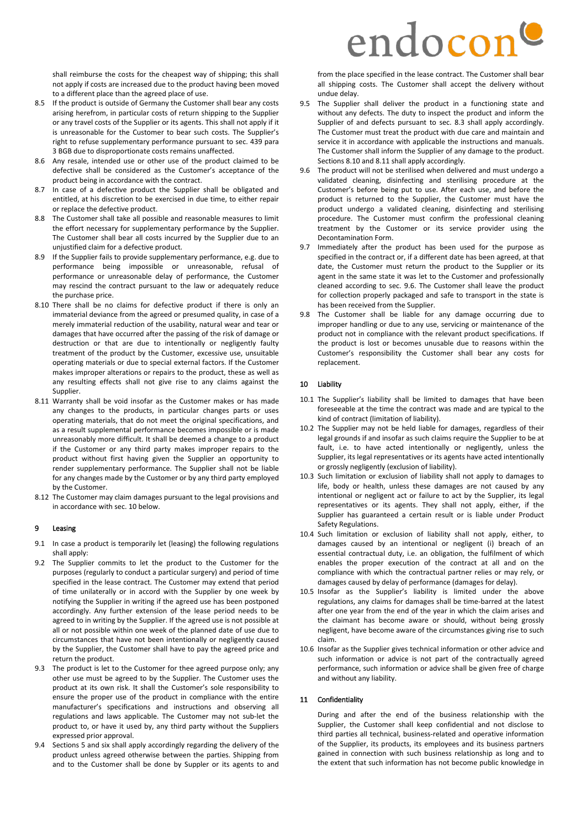shall reimburse the costs for the cheapest way of shipping; this shall not apply if costs are increased due to the product having been moved to a different place than the agreed place of use.

- 8.5 If the product is outside of Germany the Customer shall bear any costs arising herefrom, in particular costs of return shipping to the Supplier or any travel costs of the Supplier or its agents. This shall not apply if it is unreasonable for the Customer to bear such costs. The Supplier's right to refuse supplementary performance pursuant to sec. 439 para 3 BGB due to disproportionate costs remains unaffected.
- 8.6 Any resale, intended use or other use of the product claimed to be defective shall be considered as the Customer's acceptance of the product being in accordance with the contract.
- 8.7 In case of a defective product the Supplier shall be obligated and entitled, at his discretion to be exercised in due time, to either repair or replace the defective product.
- 8.8 The Customer shall take all possible and reasonable measures to limit the effort necessary for supplementary performance by the Supplier. The Customer shall bear all costs incurred by the Supplier due to an unjustified claim for a defective product.
- 8.9 If the Supplier fails to provide supplementary performance, e.g. due to performance being impossible or unreasonable, refusal of performance or unreasonable delay of performance, the Customer may rescind the contract pursuant to the law or adequately reduce the purchase price.
- 8.10 There shall be no claims for defective product if there is only an immaterial deviance from the agreed or presumed quality, in case of a merely immaterial reduction of the usability, natural wear and tear or damages that have occurred after the passing of the risk of damage or destruction or that are due to intentionally or negligently faulty treatment of the product by the Customer, excessive use, unsuitable operating materials or due to special external factors. If the Customer makes improper alterations or repairs to the product, these as well as any resulting effects shall not give rise to any claims against the Supplier.
- 8.11 Warranty shall be void insofar as the Customer makes or has made any changes to the products, in particular changes parts or uses operating materials, that do not meet the original specifications, and as a result supplemental performance becomes impossible or is made unreasonably more difficult. It shall be deemed a change to a product if the Customer or any third party makes improper repairs to the product without first having given the Supplier an opportunity to render supplementary performance. The Supplier shall not be liable for any changes made by the Customer or by any third party employed by the Customer.
- 8.12 The Customer may claim damages pursuant to the legal provisions and in accordance with sec. 10 below.

# 9 Leasing

- 9.1 In case a product is temporarily let (leasing) the following regulations shall apply:
- 9.2 The Supplier commits to let the product to the Customer for the purposes (regularly to conduct a particular surgery) and period of time specified in the lease contract. The Customer may extend that period of time unilaterally or in accord with the Supplier by one week by notifying the Supplier in writing if the agreed use has been postponed accordingly. Any further extension of the lease period needs to be agreed to in writing by the Supplier. If the agreed use is not possible at all or not possible within one week of the planned date of use due to circumstances that have not been intentionally or negligently caused by the Supplier, the Customer shall have to pay the agreed price and return the product.
- 9.3 The product is let to the Customer for thee agreed purpose only; any other use must be agreed to by the Supplier. The Customer uses the product at its own risk. It shall the Customer's sole responsibility to ensure the proper use of the product in compliance with the entire manufacturer's specifications and instructions and observing all regulations and laws applicable. The Customer may not sub-let the product to, or have it used by, any third party without the Suppliers expressed prior approval.
- 9.4 Sections 5 and six shall apply accordingly regarding the delivery of the product unless agreed otherwise between the parties. Shipping from and to the Customer shall be done by Suppler or its agents to and

# endocon

from the place specified in the lease contract. The Customer shall bear all shipping costs. The Customer shall accept the delivery without undue delay.

- 9.5 The Supplier shall deliver the product in a functioning state and without any defects. The duty to inspect the product and inform the Supplier of and defects pursuant to sec. 8.3 shall apply accordingly. The Customer must treat the product with due care and maintain and service it in accordance with applicable the instructions and manuals. The Customer shall inform the Supplier of any damage to the product. Sections 8.10 and 8.11 shall apply accordingly.
- 9.6 The product will not be sterilised when delivered and must undergo a validated cleaning, disinfecting and sterilising procedure at the Customer's before being put to use. After each use, and before the product is returned to the Supplier, the Customer must have the product undergo a validated cleaning, disinfecting and sterilising procedure. The Customer must confirm the professional cleaning treatment by the Customer or its service provider using the Decontamination Form.
- 9.7 Immediately after the product has been used for the purpose as specified in the contract or, if a different date has been agreed, at that date, the Customer must return the product to the Supplier or its agent in the same state it was let to the Customer and professionally cleaned according to sec. 9.6. The Customer shall leave the product for collection properly packaged and safe to transport in the state is has been received from the Supplier.
- 9.8 The Customer shall be liable for any damage occurring due to improper handling or due to any use, servicing or maintenance of the product not in compliance with the relevant product specifications. If the product is lost or becomes unusable due to reasons within the Customer's responsibility the Customer shall bear any costs for replacement.

### 10 Liability

- 10.1 The Supplier's liability shall be limited to damages that have been foreseeable at the time the contract was made and are typical to the kind of contract (limitation of liability).
- 10.2 The Supplier may not be held liable for damages, regardless of their legal grounds if and insofar as such claims require the Supplier to be at fault, i.e. to have acted intentionally or negligently, unless the Supplier, its legal representatives or its agents have acted intentionally or grossly negligently (exclusion of liability).
- 10.3 Such limitation or exclusion of liability shall not apply to damages to life, body or health, unless these damages are not caused by any intentional or negligent act or failure to act by the Supplier, its legal representatives or its agents. They shall not apply, either, if the Supplier has guaranteed a certain result or is liable under Product Safety Regulations.
- 10.4 Such limitation or exclusion of liability shall not apply, either, to damages caused by an intentional or negligent (i) breach of an essential contractual duty, i.e. an obligation, the fulfilment of which enables the proper execution of the contract at all and on the compliance with which the contractual partner relies or may rely, or damages caused by delay of performance (damages for delay).
- 10.5 Insofar as the Supplier's liability is limited under the above regulations, any claims for damages shall be time-barred at the latest after one year from the end of the year in which the claim arises and the claimant has become aware or should, without being grossly negligent, have become aware of the circumstances giving rise to such claim.
- 10.6 Insofar as the Supplier gives technical information or other advice and such information or advice is not part of the contractually agreed performance, such information or advice shall be given free of charge and without any liability.

#### 11 Confidentiality

During and after the end of the business relationship with the Supplier, the Customer shall keep confidential and not disclose to third parties all technical, business-related and operative information of the Supplier, its products, its employees and its business partners gained in connection with such business relationship as long and to the extent that such information has not become public knowledge in